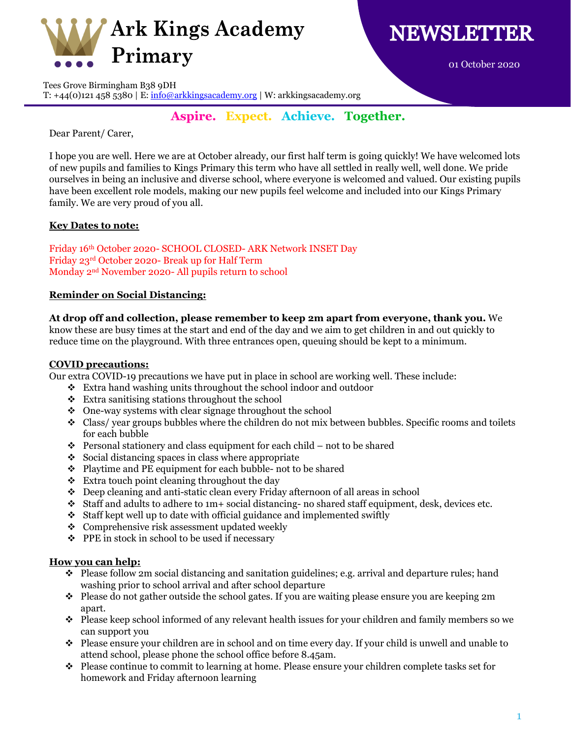



01 October 2020

Tees Grove Birmingham B38 9DH

T:  $+44(0)1214585380 \mid E: \frac{info@arkkingsacademy.org}{i} \mid W: arkkingsacademy.org$ 

# **Aspire. Expect. Achieve. Together.**

Dear Parent/ Carer,

I hope you are well. Here we are at October already, our first half term is going quickly! We have welcomed lots of new pupils and families to Kings Primary this term who have all settled in really well, well done. We pride ourselves in being an inclusive and diverse school, where everyone is welcomed and valued. Our existing pupils have been excellent role models, making our new pupils feel welcome and included into our Kings Primary family. We are very proud of you all.

# **Key Dates to note:**

Friday 16th October 2020- SCHOOL CLOSED- ARK Network INSET Day Friday 23rd October 2020- Break up for Half Term Monday 2nd November 2020- All pupils return to school

# **Reminder on Social Distancing:**

**At drop off and collection, please remember to keep 2m apart from everyone, thank you.** We

know these are busy times at the start and end of the day and we aim to get children in and out quickly to reduce time on the playground. With three entrances open, queuing should be kept to a minimum.

#### **COVID precautions:**

Our extra COVID-19 precautions we have put in place in school are working well. These include:

- Extra hand washing units throughout the school indoor and outdoor
- Extra sanitising stations throughout the school
- One-way systems with clear signage throughout the school
- Class/ year groups bubbles where the children do not mix between bubbles. Specific rooms and toilets for each bubble
- $\div$  Personal stationery and class equipment for each child not to be shared
- $\div$  Social distancing spaces in class where appropriate
- Playtime and PE equipment for each bubble- not to be shared
- $\div$  Extra touch point cleaning throughout the day
- Deep cleaning and anti-static clean every Friday afternoon of all areas in school
- $\div$  Staff and adults to adhere to 1m+ social distancing- no shared staff equipment, desk, devices etc.
- $\div$  Staff kept well up to date with official guidance and implemented swiftly
- Comprehensive risk assessment updated weekly
- PPE in stock in school to be used if necessary

#### **How you can help:**

- $\bullet$  Please follow 2m social distancing and sanitation guidelines; e.g. arrival and departure rules; hand washing prior to school arrival and after school departure
- Please do not gather outside the school gates. If you are waiting please ensure you are keeping  $2m$ apart.
- Please keep school informed of any relevant health issues for your children and family members so we can support you
- Please ensure your children are in school and on time every day. If your child is unwell and unable to attend school, please phone the school office before 8.45am.
- $\bullet$  Please continue to commit to learning at home. Please ensure your children complete tasks set for homework and Friday afternoon learning